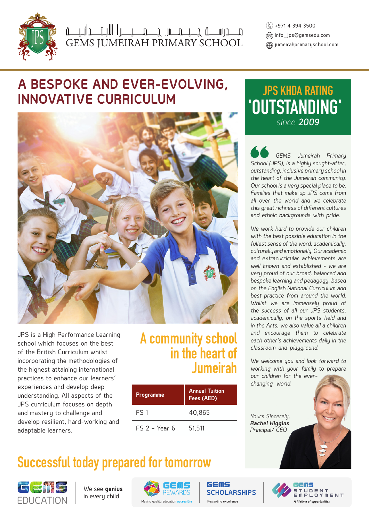

البنا العلم السلام العلم المستمرين السلام المستمرين المستمرين المستمركين المستمركين المستمركين السلام<br>GEMS JUMEIRAH PRIMARY SCHOOL

 +971 4 394 3500 info\_jps@gemsedu.com  $\langle \widehat{\oplus} \rangle$  jumeirahprimaryschool.com

# **A BESPOKE AND EVER-EVOLVING, INNOVATIVE CURRICULUM**



JPS is a High Performance Learning school which focuses on the best of the British Curriculum whilst incorporating the methodologies of the highest attaining international practices to enhance our learners' experiences and develop deep understanding. All aspects of the JPS curriculum focuses on depth and mastery to challenge and develop resilient, hard-working and adaptable learners.

# **A community school in the heart of Jumeirah**

| <b>Programme</b> | <b>Annual Tuition</b><br>Fees (AED) |
|------------------|-------------------------------------|
| FS 1             | 40,865                              |
| $FS$ 2 - Year 6  | 51,511                              |

# **Successful today prepared for tomorrow**



We see **genius** in every child



GEMS **SCHOLARSHIPS** 

# **'OUTSTANDING' JPS KHDA RATING** *since 2009*

 *GEMS Jumeirah Primary School (JPS), is a highly sought-after, outstanding, inclusive primary school in the heart of the Jumeirah community. Our school is a very special place to be. Families that make up JPS come from all over the world and we celebrate this great richness of different cultures and ethnic backgrounds with pride.* 

*We work hard to provide our children with the best possible education in the fullest sense of the word; academically, culturally and emotionally. Our academic and extracurricular achievements are well known and established - we are very proud of our broad, balanced and bespoke learning and pedagogy, based on the English National Curriculum and best practice from around the world. Whilst we are immensely proud of the success of all our JPS students, academically, on the sports field and in the Arts, we also value all a children and encourage them to celebrate each other's achievements daily in the classroom and playground.* 

*We welcome you and look forward to working with your family to prepare our children for the everchanging world.*

*Yours Sincerely, Rachel Higgins Principal/ CEO*